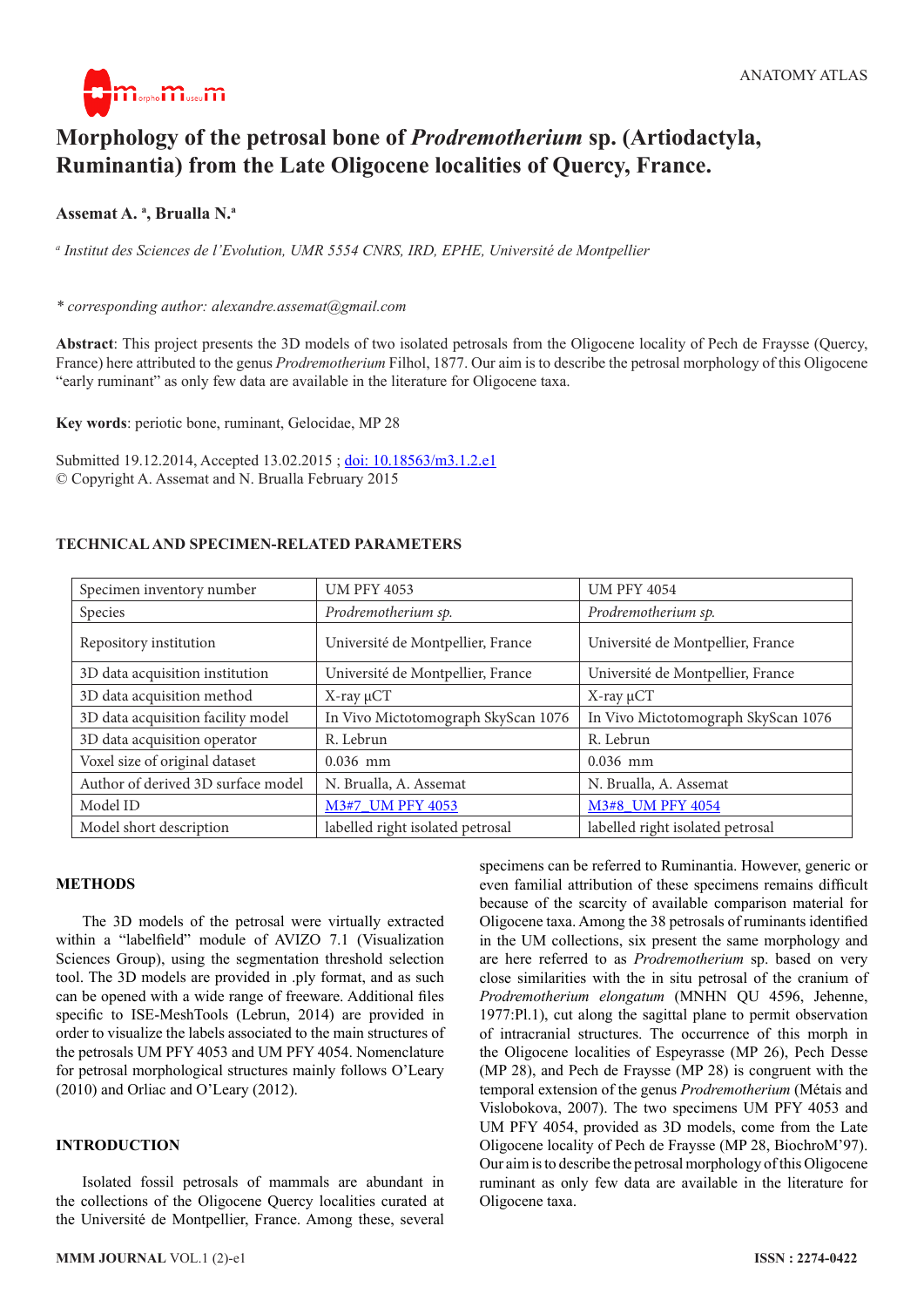

# **Morphology of the petrosal bone of** *Prodremotherium* **sp. (Artiodactyla, Ruminantia) from the Late Oligocene localities of Quercy, France.**

# **Assemat A. a , Brualla N.a**

*a Institut des Sciences de l'Evolution, UMR 5554 CNRS, IRD, EPHE, Université de Montpellier*

#### *\* corresponding author: alexandre.assemat@gmail.com*

**Abstract**: This project presents the 3D models of two isolated petrosals from the Oligocene locality of Pech de Fraysse (Quercy, France) here attributed to the genus *Prodremotherium* Filhol, 1877. Our aim is to describe the petrosal morphology of this Oligocene "early ruminant" as only few data are available in the literature for Oligocene taxa.

**Key words**: periotic bone, ruminant, Gelocidae, MP 28

Submitted 19.12.2014, Accepted 13.02.2015 ; [doi: 10.18563/m3.1.2.e1](http://dx.doi.org/10.18563/m3.1.2.e1) © Copyright A. Assemat and N. Brualla February 2015

## **TECHNICAL AND SPECIMEN-RELATED PARAMETERS**

| Specimen inventory number          | <b>UM PFY 4053</b>                  | <b>UM PFY 4054</b>                  |
|------------------------------------|-------------------------------------|-------------------------------------|
| Species                            | Prodremotherium sp.                 | Prodremotherium sp.                 |
| Repository institution             | Université de Montpellier, France   | Université de Montpellier, France   |
| 3D data acquisition institution    | Université de Montpellier, France   | Université de Montpellier, France   |
| 3D data acquisition method         | $X$ -ray $\mu$ CT                   | $X$ -ray $\mu$ CT                   |
| 3D data acquisition facility model | In Vivo Mictotomograph SkyScan 1076 | In Vivo Mictotomograph SkyScan 1076 |
| 3D data acquisition operator       | R. Lebrun                           | R. Lebrun                           |
| Voxel size of original dataset     | $0.036$ mm                          | $0.036$ mm                          |
| Author of derived 3D surface model | N. Brualla, A. Assemat              | N. Brualla, A. Assemat              |
| Model ID                           | M3#7 UM PFY 4053                    | M3#8 UM PFY 4054                    |
| Model short description            | labelled right isolated petrosal    | labelled right isolated petrosal    |

## **METHODS**

The 3D models of the petrosal were virtually extracted within a "labelfield" module of AVIZO 7.1 (Visualization Sciences Group), using the segmentation threshold selection tool. The 3D models are provided in .ply format, and as such can be opened with a wide range of freeware. Additional files specific to ISE-MeshTools (Lebrun, 2014) are provided in order to visualize the labels associated to the main structures of the petrosals UM PFY 4053 and UM PFY 4054. Nomenclature for petrosal morphological structures mainly follows O'Leary (2010) and Orliac and O'Leary (2012).

## **INTRODUCTION**

Isolated fossil petrosals of mammals are abundant in the collections of the Oligocene Quercy localities curated at the Université de Montpellier, France. Among these, several

because of the scarcity of available comparison material for Oligocene taxa. Among the 38 petrosals of ruminants identified in the UM collections, six present the same morphology and are here referred to as *Prodremotherium* sp. based on very close similarities with the in situ petrosal of the cranium of *Prodremotherium elongatum* (MNHN QU 4596, Jehenne, 1977:Pl.1), cut along the sagittal plane to permit observation of intracranial structures. The occurrence of this morph in the Oligocene localities of Espeyrasse (MP 26), Pech Desse (MP 28), and Pech de Fraysse (MP 28) is congruent with the temporal extension of the genus *Prodremotherium* (Métais and Vislobokova, 2007). The two specimens UM PFY 4053 and UM PFY 4054, provided as 3D models, come from the Late Oligocene locality of Pech de Fraysse (MP 28, BiochroM'97). Our aim is to describe the petrosal morphology of this Oligocene ruminant as only few data are available in the literature for Oligocene taxa.

specimens can be referred to Ruminantia. However, generic or even familial attribution of these specimens remains difficult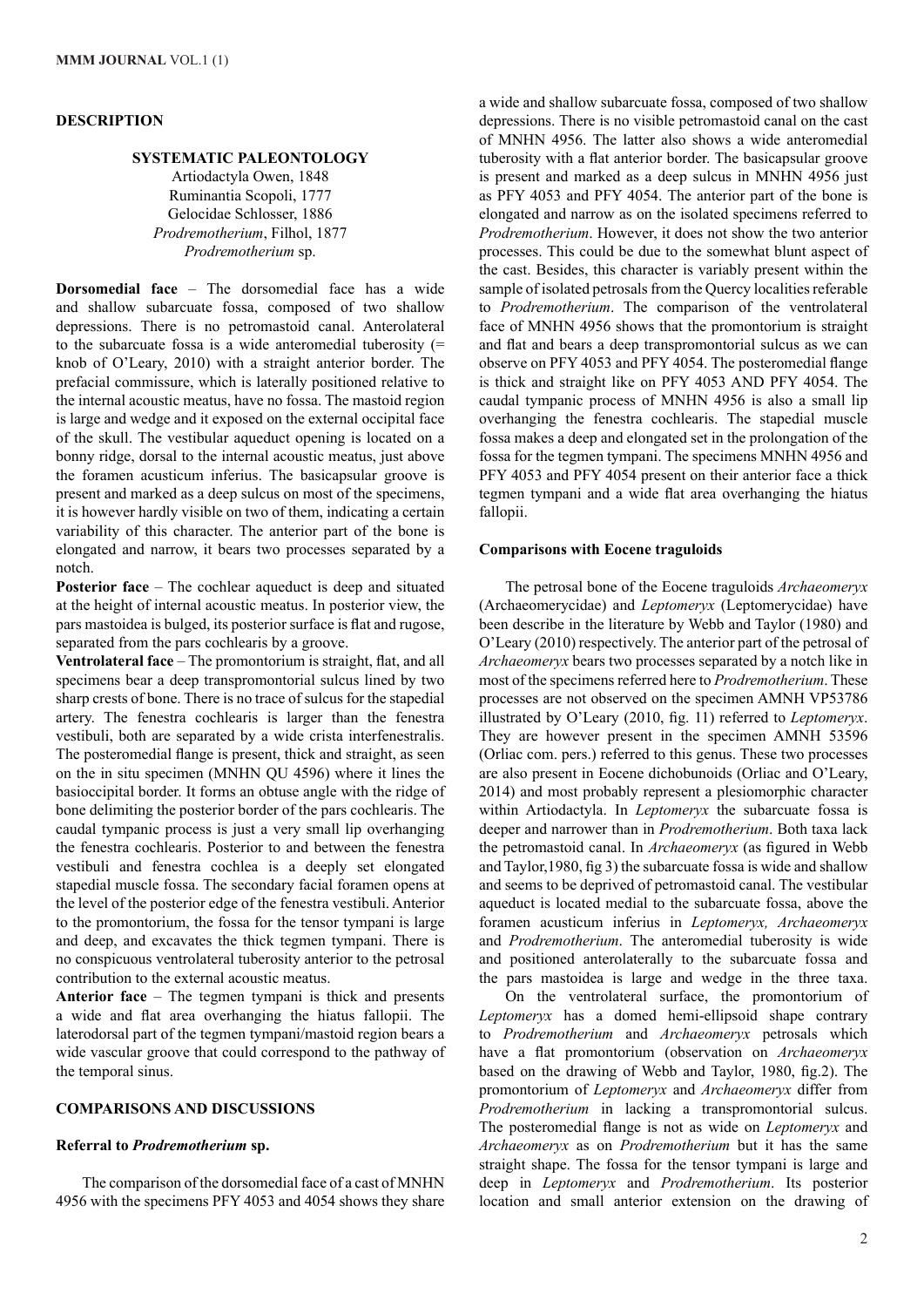#### **DESCRIPTION**

## **SYSTEMATIC PALEONTOLOGY**

Artiodactyla Owen, 1848 Ruminantia Scopoli, 1777 Gelocidae Schlosser, 1886 *Prodremotherium*, Filhol, 1877 *Prodremotherium* sp.

**Dorsomedial face** – The dorsomedial face has a wide and shallow subarcuate fossa, composed of two shallow depressions. There is no petromastoid canal. Anterolateral to the subarcuate fossa is a wide anteromedial tuberosity (= knob of O'Leary, 2010) with a straight anterior border. The prefacial commissure, which is laterally positioned relative to the internal acoustic meatus, have no fossa. The mastoid region is large and wedge and it exposed on the external occipital face of the skull. The vestibular aqueduct opening is located on a bonny ridge, dorsal to the internal acoustic meatus, just above the foramen acusticum inferius. The basicapsular groove is present and marked as a deep sulcus on most of the specimens, it is however hardly visible on two of them, indicating a certain variability of this character. The anterior part of the bone is elongated and narrow, it bears two processes separated by a notch.

**Posterior face** – The cochlear aqueduct is deep and situated at the height of internal acoustic meatus. In posterior view, the pars mastoidea is bulged, its posterior surface is flat and rugose, separated from the pars cochlearis by a groove.

**Ventrolateral face** – The promontorium is straight, flat, and all specimens bear a deep transpromontorial sulcus lined by two sharp crests of bone. There is no trace of sulcus for the stapedial artery. The fenestra cochlearis is larger than the fenestra vestibuli, both are separated by a wide crista interfenestralis. The posteromedial flange is present, thick and straight, as seen on the in situ specimen (MNHN QU 4596) where it lines the basioccipital border. It forms an obtuse angle with the ridge of bone delimiting the posterior border of the pars cochlearis. The caudal tympanic process is just a very small lip overhanging the fenestra cochlearis. Posterior to and between the fenestra vestibuli and fenestra cochlea is a deeply set elongated stapedial muscle fossa. The secondary facial foramen opens at the level of the posterior edge of the fenestra vestibuli. Anterior to the promontorium, the fossa for the tensor tympani is large and deep, and excavates the thick tegmen tympani. There is no conspicuous ventrolateral tuberosity anterior to the petrosal contribution to the external acoustic meatus.

**Anterior face** – The tegmen tympani is thick and presents a wide and flat area overhanging the hiatus fallopii. The laterodorsal part of the tegmen tympani/mastoid region bears a wide vascular groove that could correspond to the pathway of the temporal sinus.

# **COMPARISONS AND DISCUSSIONS**

#### **Referral to** *Prodremotherium* **sp.**

The comparison of the dorsomedial face of a cast of MNHN 4956 with the specimens PFY 4053 and 4054 shows they share a wide and shallow subarcuate fossa, composed of two shallow depressions. There is no visible petromastoid canal on the cast of MNHN 4956. The latter also shows a wide anteromedial tuberosity with a flat anterior border. The basicapsular groove is present and marked as a deep sulcus in MNHN 4956 just as PFY 4053 and PFY 4054. The anterior part of the bone is elongated and narrow as on the isolated specimens referred to *Prodremotherium*. However, it does not show the two anterior processes. This could be due to the somewhat blunt aspect of the cast. Besides, this character is variably present within the sample of isolated petrosals from the Quercy localities referable to *Prodremotherium*. The comparison of the ventrolateral face of MNHN 4956 shows that the promontorium is straight and flat and bears a deep transpromontorial sulcus as we can observe on PFY 4053 and PFY 4054. The posteromedial flange is thick and straight like on PFY 4053 AND PFY 4054. The caudal tympanic process of MNHN 4956 is also a small lip overhanging the fenestra cochlearis. The stapedial muscle fossa makes a deep and elongated set in the prolongation of the fossa for the tegmen tympani. The specimens MNHN 4956 and PFY 4053 and PFY 4054 present on their anterior face a thick tegmen tympani and a wide flat area overhanging the hiatus fallopii.

#### **Comparisons with Eocene traguloids**

The petrosal bone of the Eocene traguloids *Archaeomeryx* (Archaeomerycidae) and *Leptomeryx* (Leptomerycidae) have been describe in the literature by Webb and Taylor (1980) and O'Leary (2010) respectively. The anterior part of the petrosal of *Archaeomeryx* bears two processes separated by a notch like in most of the specimens referred here to *Prodremotherium*. These processes are not observed on the specimen AMNH VP53786 illustrated by O'Leary (2010, fig. 11) referred to *Leptomeryx*. They are however present in the specimen AMNH 53596 (Orliac com. pers.) referred to this genus. These two processes are also present in Eocene dichobunoids (Orliac and O'Leary, 2014) and most probably represent a plesiomorphic character within Artiodactyla. In *Leptomeryx* the subarcuate fossa is deeper and narrower than in *Prodremotherium*. Both taxa lack the petromastoid canal. In *Archaeomeryx* (as figured in Webb and Taylor,1980, fig 3) the subarcuate fossa is wide and shallow and seems to be deprived of petromastoid canal. The vestibular aqueduct is located medial to the subarcuate fossa, above the foramen acusticum inferius in *Leptomeryx, Archaeomeryx* and *Prodremotherium*. The anteromedial tuberosity is wide and positioned anterolaterally to the subarcuate fossa and the pars mastoidea is large and wedge in the three taxa.

On the ventrolateral surface, the promontorium of *Leptomeryx* has a domed hemi-ellipsoid shape contrary to *Prodremotherium* and *Archaeomeryx* petrosals which have a flat promontorium (observation on *Archaeomeryx* based on the drawing of Webb and Taylor, 1980, fig.2). The promontorium of *Leptomeryx* and *Archaeomeryx* differ from *Prodremotherium* in lacking a transpromontorial sulcus. The posteromedial flange is not as wide on *Leptomeryx* and *Archaeomeryx* as on *Prodremotherium* but it has the same straight shape. The fossa for the tensor tympani is large and deep in *Leptomeryx* and *Prodremotherium*. Its posterior location and small anterior extension on the drawing of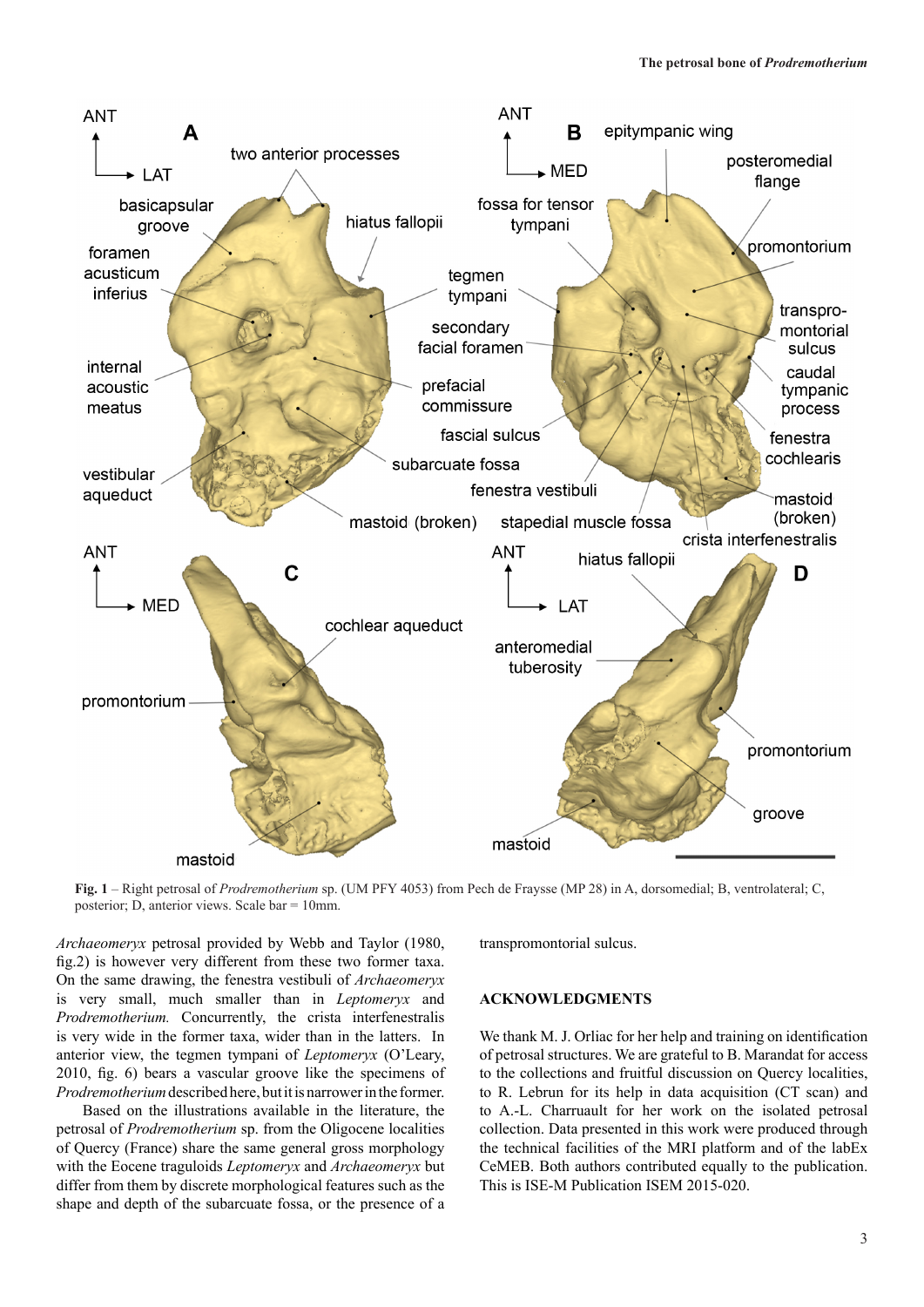

**Fig. 1** – Right petrosal of *Prodremotherium* sp. (UM PFY 4053) from Pech de Fraysse (MP 28) in A, dorsomedial; B, ventrolateral; C, posterior; D, anterior views. Scale bar = 10mm.

*Archaeomeryx* petrosal provided by Webb and Taylor (1980, fig.2) is however very different from these two former taxa. On the same drawing, the fenestra vestibuli of *Archaeomeryx*  is very small, much smaller than in *Leptomeryx* and *Prodremotherium.* Concurrently, the crista interfenestralis is very wide in the former taxa, wider than in the latters. In anterior view, the tegmen tympani of *Leptomeryx* (O'Leary, 2010, fig. 6) bears a vascular groove like the specimens of *Prodremotherium* described here, but it is narrower in the former.

Based on the illustrations available in the literature, the petrosal of *Prodremotherium* sp. from the Oligocene localities of Quercy (France) share the same general gross morphology with the Eocene traguloids *Leptomeryx* and *Archaeomeryx* but differ from them by discrete morphological features such as the shape and depth of the subarcuate fossa, or the presence of a

transpromontorial sulcus.

# **ACKNOWLEDGMENTS**

We thank M. J. Orliac for her help and training on identification of petrosal structures. We are grateful to B. Marandat for access to the collections and fruitful discussion on Quercy localities, to R. Lebrun for its help in data acquisition (CT scan) and to A.-L. Charruault for her work on the isolated petrosal collection. Data presented in this work were produced through the technical facilities of the MRI platform and of the labEx CeMEB. Both authors contributed equally to the publication. This is ISE-M Publication ISEM 2015-020.